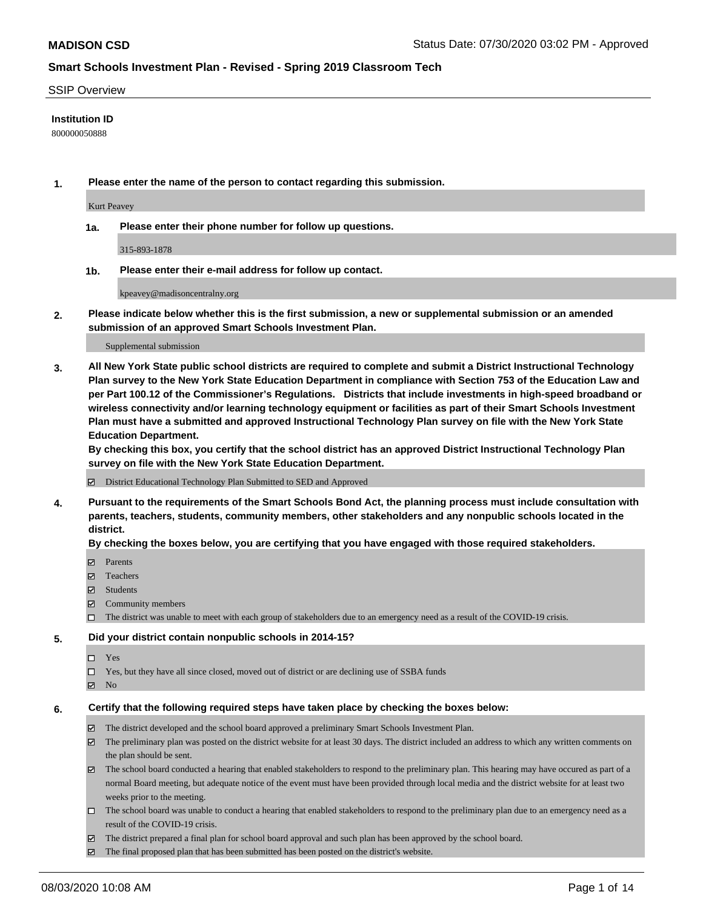#### SSIP Overview

### **Institution ID**

800000050888

**1. Please enter the name of the person to contact regarding this submission.**

Kurt Peavey

**1a. Please enter their phone number for follow up questions.**

315-893-1878

**1b. Please enter their e-mail address for follow up contact.**

kpeavey@madisoncentralny.org

**2. Please indicate below whether this is the first submission, a new or supplemental submission or an amended submission of an approved Smart Schools Investment Plan.**

#### Supplemental submission

**3. All New York State public school districts are required to complete and submit a District Instructional Technology Plan survey to the New York State Education Department in compliance with Section 753 of the Education Law and per Part 100.12 of the Commissioner's Regulations. Districts that include investments in high-speed broadband or wireless connectivity and/or learning technology equipment or facilities as part of their Smart Schools Investment Plan must have a submitted and approved Instructional Technology Plan survey on file with the New York State Education Department.** 

**By checking this box, you certify that the school district has an approved District Instructional Technology Plan survey on file with the New York State Education Department.**

District Educational Technology Plan Submitted to SED and Approved

**4. Pursuant to the requirements of the Smart Schools Bond Act, the planning process must include consultation with parents, teachers, students, community members, other stakeholders and any nonpublic schools located in the district.** 

#### **By checking the boxes below, you are certifying that you have engaged with those required stakeholders.**

- **Ø** Parents
- Teachers
- Students
- $\boxtimes$  Community members
- The district was unable to meet with each group of stakeholders due to an emergency need as a result of the COVID-19 crisis.

#### **5. Did your district contain nonpublic schools in 2014-15?**

- $\neg$  Yes
- Yes, but they have all since closed, moved out of district or are declining use of SSBA funds
- **Z** No

#### **6. Certify that the following required steps have taken place by checking the boxes below:**

- The district developed and the school board approved a preliminary Smart Schools Investment Plan.
- $\boxtimes$  The preliminary plan was posted on the district website for at least 30 days. The district included an address to which any written comments on the plan should be sent.
- The school board conducted a hearing that enabled stakeholders to respond to the preliminary plan. This hearing may have occured as part of a normal Board meeting, but adequate notice of the event must have been provided through local media and the district website for at least two weeks prior to the meeting.
- The school board was unable to conduct a hearing that enabled stakeholders to respond to the preliminary plan due to an emergency need as a result of the COVID-19 crisis.
- The district prepared a final plan for school board approval and such plan has been approved by the school board.
- $\boxtimes$  The final proposed plan that has been submitted has been posted on the district's website.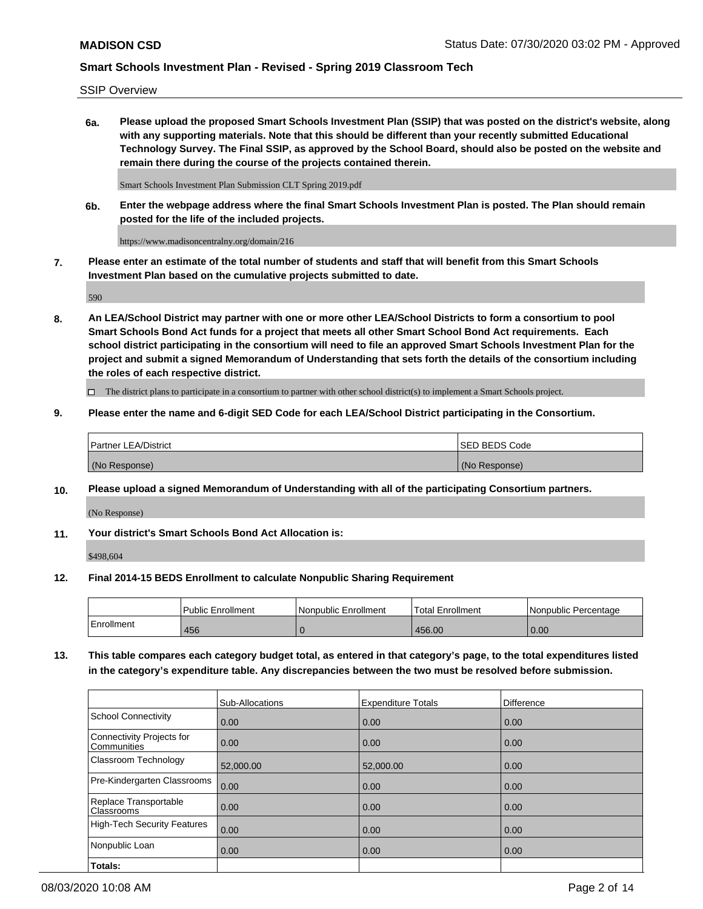SSIP Overview

**6a. Please upload the proposed Smart Schools Investment Plan (SSIP) that was posted on the district's website, along with any supporting materials. Note that this should be different than your recently submitted Educational Technology Survey. The Final SSIP, as approved by the School Board, should also be posted on the website and remain there during the course of the projects contained therein.**

Smart Schools Investment Plan Submission CLT Spring 2019.pdf

**6b. Enter the webpage address where the final Smart Schools Investment Plan is posted. The Plan should remain posted for the life of the included projects.**

https://www.madisoncentralny.org/domain/216

**7. Please enter an estimate of the total number of students and staff that will benefit from this Smart Schools Investment Plan based on the cumulative projects submitted to date.**

590

**8. An LEA/School District may partner with one or more other LEA/School Districts to form a consortium to pool Smart Schools Bond Act funds for a project that meets all other Smart School Bond Act requirements. Each school district participating in the consortium will need to file an approved Smart Schools Investment Plan for the project and submit a signed Memorandum of Understanding that sets forth the details of the consortium including the roles of each respective district.**

 $\Box$  The district plans to participate in a consortium to partner with other school district(s) to implement a Smart Schools project.

### **9. Please enter the name and 6-digit SED Code for each LEA/School District participating in the Consortium.**

| Partner LEA/District | <b>ISED BEDS Code</b> |
|----------------------|-----------------------|
| (No Response)        | (No Response)         |

### **10. Please upload a signed Memorandum of Understanding with all of the participating Consortium partners.**

(No Response)

**11. Your district's Smart Schools Bond Act Allocation is:**

\$498,604

#### **12. Final 2014-15 BEDS Enrollment to calculate Nonpublic Sharing Requirement**

|            | Public Enrollment | Nonpublic Enrollment | Total Enrollment | I Nonpublic Percentage |
|------------|-------------------|----------------------|------------------|------------------------|
| Enrollment | 456               |                      | 456.00           | 0.00                   |

**13. This table compares each category budget total, as entered in that category's page, to the total expenditures listed in the category's expenditure table. Any discrepancies between the two must be resolved before submission.**

|                                          | Sub-Allocations | <b>Expenditure Totals</b> | <b>Difference</b> |
|------------------------------------------|-----------------|---------------------------|-------------------|
| <b>School Connectivity</b>               | 0.00            | 0.00                      | 0.00              |
| Connectivity Projects for<br>Communities | 0.00            | 0.00                      | 0.00              |
| Classroom Technology                     | 52,000.00       | 52,000.00                 | 0.00              |
| Pre-Kindergarten Classrooms              | 0.00            | 0.00                      | 0.00              |
| Replace Transportable<br>Classrooms      | 0.00            | 0.00                      | 0.00              |
| <b>High-Tech Security Features</b>       | 0.00            | 0.00                      | 0.00              |
| Nonpublic Loan                           | 0.00            | 0.00                      | 0.00              |
| Totals:                                  |                 |                           |                   |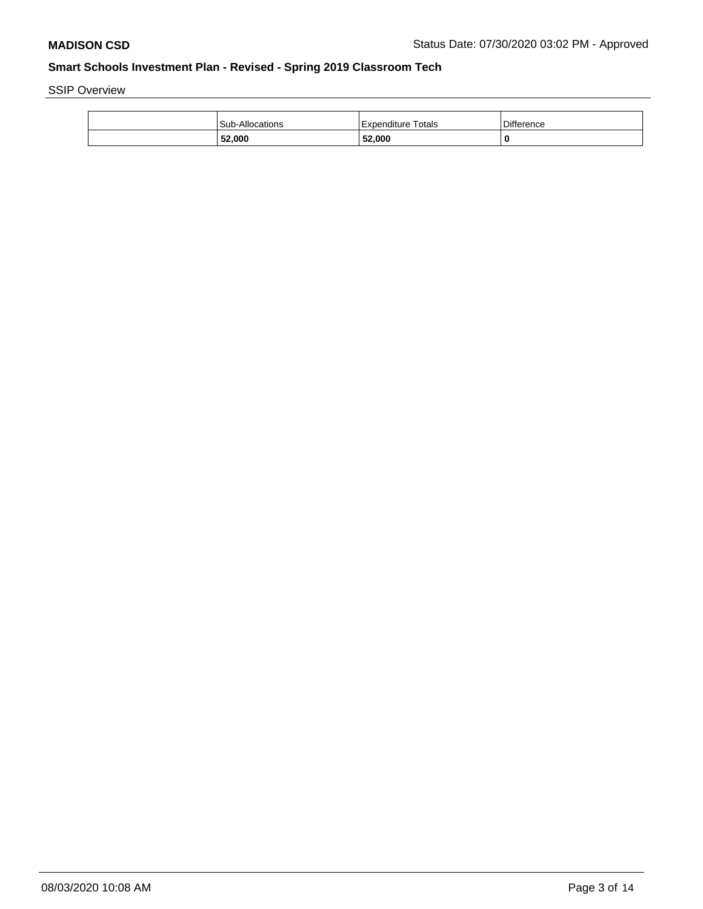SSIP Overview

| Sub-Allocations | Expenditure Totals | <b>Difference</b> |
|-----------------|--------------------|-------------------|
| 52,000          | 52,000             | 0                 |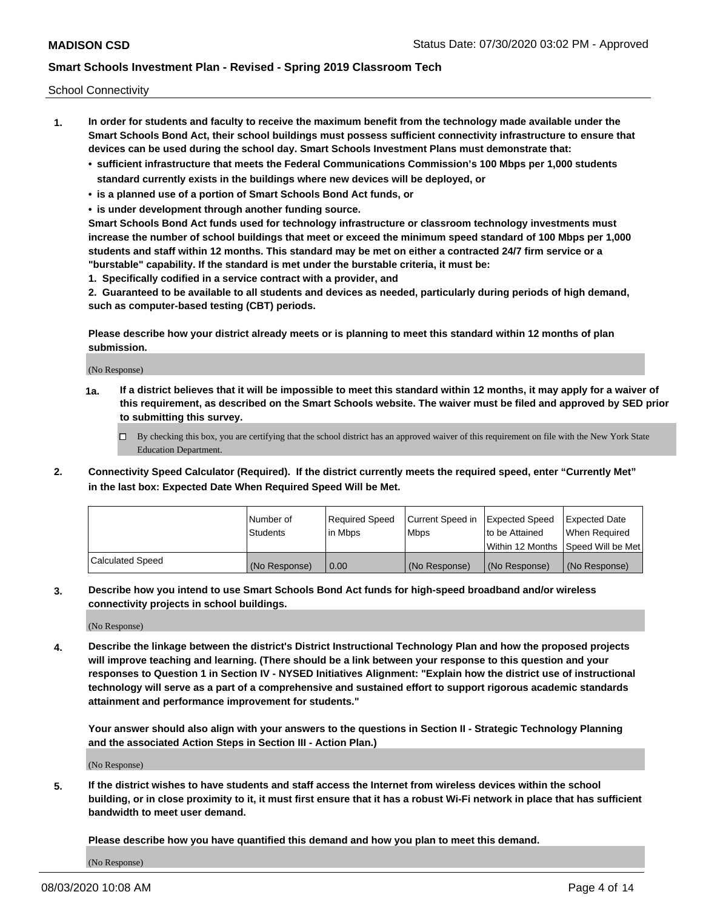School Connectivity

- **1. In order for students and faculty to receive the maximum benefit from the technology made available under the Smart Schools Bond Act, their school buildings must possess sufficient connectivity infrastructure to ensure that devices can be used during the school day. Smart Schools Investment Plans must demonstrate that:**
	- **• sufficient infrastructure that meets the Federal Communications Commission's 100 Mbps per 1,000 students standard currently exists in the buildings where new devices will be deployed, or**
	- **• is a planned use of a portion of Smart Schools Bond Act funds, or**
	- **• is under development through another funding source.**

**Smart Schools Bond Act funds used for technology infrastructure or classroom technology investments must increase the number of school buildings that meet or exceed the minimum speed standard of 100 Mbps per 1,000 students and staff within 12 months. This standard may be met on either a contracted 24/7 firm service or a "burstable" capability. If the standard is met under the burstable criteria, it must be:**

**1. Specifically codified in a service contract with a provider, and**

**2. Guaranteed to be available to all students and devices as needed, particularly during periods of high demand, such as computer-based testing (CBT) periods.**

**Please describe how your district already meets or is planning to meet this standard within 12 months of plan submission.**

(No Response)

**1a. If a district believes that it will be impossible to meet this standard within 12 months, it may apply for a waiver of this requirement, as described on the Smart Schools website. The waiver must be filed and approved by SED prior to submitting this survey.**

 $\Box$  By checking this box, you are certifying that the school district has an approved waiver of this requirement on file with the New York State Education Department.

**2. Connectivity Speed Calculator (Required). If the district currently meets the required speed, enter "Currently Met" in the last box: Expected Date When Required Speed Will be Met.**

|                  | l Number of     | Required Speed | Current Speed in | Expected Speed  | Expected Date                           |
|------------------|-----------------|----------------|------------------|-----------------|-----------------------------------------|
|                  | <b>Students</b> | In Mbps        | l Mbps           | to be Attained  | When Required                           |
|                  |                 |                |                  |                 | l Within 12 Months ISpeed Will be Met l |
| Calculated Speed | (No Response)   | 0.00           | (No Response)    | l (No Response) | l (No Response)                         |

**3. Describe how you intend to use Smart Schools Bond Act funds for high-speed broadband and/or wireless connectivity projects in school buildings.**

(No Response)

**4. Describe the linkage between the district's District Instructional Technology Plan and how the proposed projects will improve teaching and learning. (There should be a link between your response to this question and your responses to Question 1 in Section IV - NYSED Initiatives Alignment: "Explain how the district use of instructional technology will serve as a part of a comprehensive and sustained effort to support rigorous academic standards attainment and performance improvement for students."** 

**Your answer should also align with your answers to the questions in Section II - Strategic Technology Planning and the associated Action Steps in Section III - Action Plan.)**

(No Response)

**5. If the district wishes to have students and staff access the Internet from wireless devices within the school building, or in close proximity to it, it must first ensure that it has a robust Wi-Fi network in place that has sufficient bandwidth to meet user demand.**

**Please describe how you have quantified this demand and how you plan to meet this demand.**

(No Response)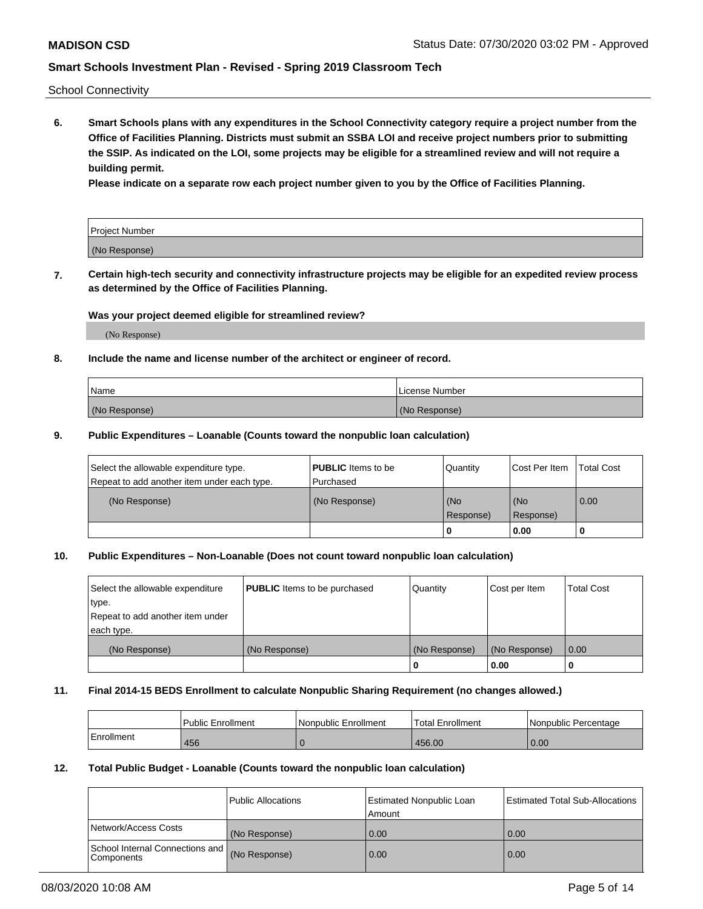School Connectivity

**6. Smart Schools plans with any expenditures in the School Connectivity category require a project number from the Office of Facilities Planning. Districts must submit an SSBA LOI and receive project numbers prior to submitting the SSIP. As indicated on the LOI, some projects may be eligible for a streamlined review and will not require a building permit.**

**Please indicate on a separate row each project number given to you by the Office of Facilities Planning.**

| Project Number |  |
|----------------|--|
| (No Response)  |  |

**7. Certain high-tech security and connectivity infrastructure projects may be eligible for an expedited review process as determined by the Office of Facilities Planning.**

### **Was your project deemed eligible for streamlined review?**

(No Response)

### **8. Include the name and license number of the architect or engineer of record.**

| Name          | License Number |
|---------------|----------------|
| (No Response) | (No Response)  |

#### **9. Public Expenditures – Loanable (Counts toward the nonpublic loan calculation)**

| Select the allowable expenditure type.<br>Repeat to add another item under each type. | <b>PUBLIC</b> Items to be<br>l Purchased | Quantity         | l Cost Per Item  | <b>Total Cost</b> |
|---------------------------------------------------------------------------------------|------------------------------------------|------------------|------------------|-------------------|
| (No Response)                                                                         | (No Response)                            | (No<br>Response) | (No<br>Response) | 0.00              |
|                                                                                       |                                          | 0                | 0.00             |                   |

### **10. Public Expenditures – Non-Loanable (Does not count toward nonpublic loan calculation)**

| Select the allowable expenditure<br>type.<br>Repeat to add another item under<br>each type. | <b>PUBLIC</b> Items to be purchased | Quantity      | Cost per Item | <b>Total Cost</b> |
|---------------------------------------------------------------------------------------------|-------------------------------------|---------------|---------------|-------------------|
| (No Response)                                                                               | (No Response)                       | (No Response) | (No Response) | 0.00              |
|                                                                                             |                                     |               | 0.00          |                   |

#### **11. Final 2014-15 BEDS Enrollment to calculate Nonpublic Sharing Requirement (no changes allowed.)**

|            | l Public Enrollment | Nonpublic Enrollment | <b>Total Enrollment</b> | l Nonpublic Percentage |
|------------|---------------------|----------------------|-------------------------|------------------------|
| Enrollment | 456                 |                      | 456.00                  | 0.00                   |

#### **12. Total Public Budget - Loanable (Counts toward the nonpublic loan calculation)**

|                                               | Public Allocations | <b>Estimated Nonpublic Loan</b><br>Amount | Estimated Total Sub-Allocations |
|-----------------------------------------------|--------------------|-------------------------------------------|---------------------------------|
| Network/Access Costs                          | (No Response)      | 0.00                                      | 0.00                            |
| School Internal Connections and<br>Components | (No Response)      | 0.00                                      | 0.00                            |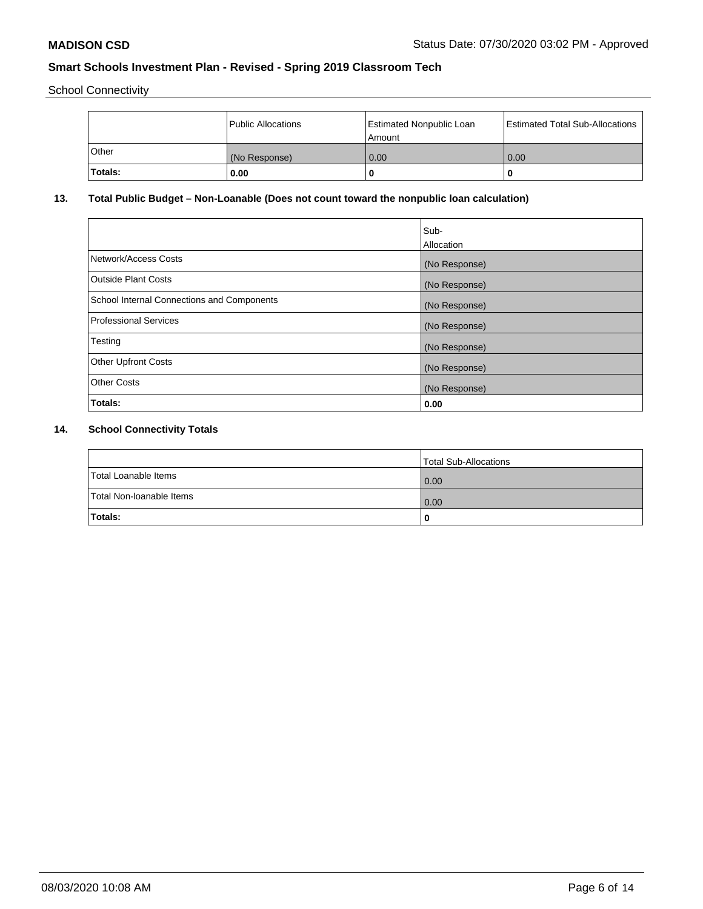School Connectivity

|         | Public Allocations | <b>Estimated Nonpublic Loan</b><br>l Amount | <b>Estimated Total Sub-Allocations</b> |
|---------|--------------------|---------------------------------------------|----------------------------------------|
| l Other | (No Response)      | 0.00                                        | 0.00                                   |
| Totals: | 0.00               | 0                                           |                                        |

# **13. Total Public Budget – Non-Loanable (Does not count toward the nonpublic loan calculation)**

| Sub-<br>Allocation |
|--------------------|
| (No Response)      |
| (No Response)      |
| (No Response)      |
| (No Response)      |
| (No Response)      |
| (No Response)      |
| (No Response)      |
| 0.00               |
|                    |

# **14. School Connectivity Totals**

|                          | Total Sub-Allocations |
|--------------------------|-----------------------|
| Total Loanable Items     | 0.00                  |
| Total Non-Ioanable Items | 0.00                  |
| Totals:                  | 0                     |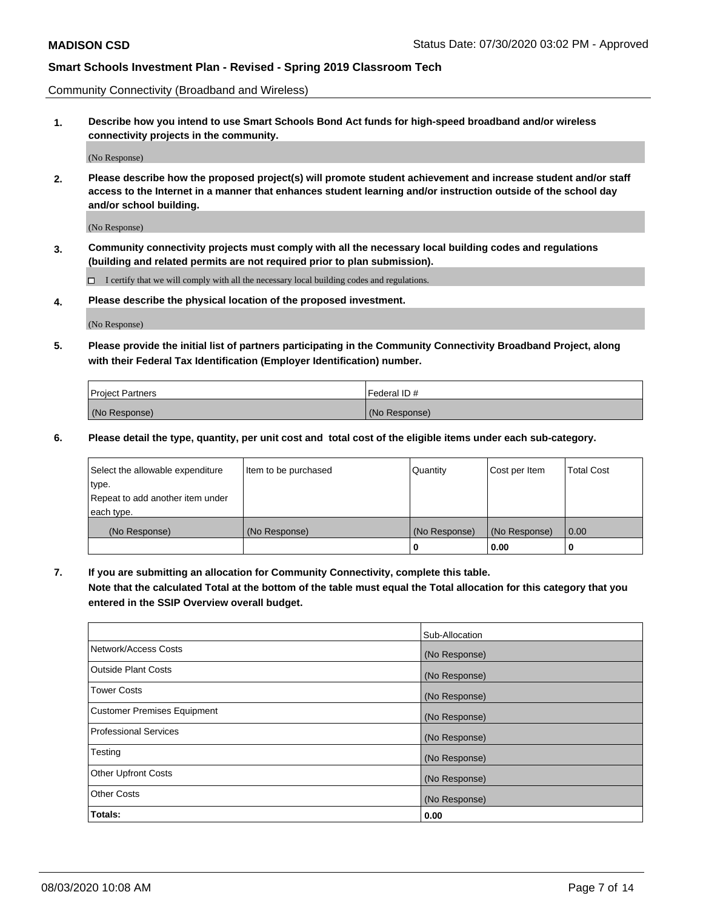Community Connectivity (Broadband and Wireless)

**1. Describe how you intend to use Smart Schools Bond Act funds for high-speed broadband and/or wireless connectivity projects in the community.**

(No Response)

**2. Please describe how the proposed project(s) will promote student achievement and increase student and/or staff access to the Internet in a manner that enhances student learning and/or instruction outside of the school day and/or school building.**

(No Response)

**3. Community connectivity projects must comply with all the necessary local building codes and regulations (building and related permits are not required prior to plan submission).**

 $\Box$  I certify that we will comply with all the necessary local building codes and regulations.

**4. Please describe the physical location of the proposed investment.**

(No Response)

**5. Please provide the initial list of partners participating in the Community Connectivity Broadband Project, along with their Federal Tax Identification (Employer Identification) number.**

| <b>Project Partners</b> | l Federal ID # |
|-------------------------|----------------|
| (No Response)           | (No Response)  |

**6. Please detail the type, quantity, per unit cost and total cost of the eligible items under each sub-category.**

| Select the allowable expenditure | Item to be purchased | Quantity      | Cost per Item | <b>Total Cost</b> |
|----------------------------------|----------------------|---------------|---------------|-------------------|
| type.                            |                      |               |               |                   |
| Repeat to add another item under |                      |               |               |                   |
| each type.                       |                      |               |               |                   |
| (No Response)                    | (No Response)        | (No Response) | (No Response) | 0.00              |
|                                  |                      | o             | 0.00          |                   |

**7. If you are submitting an allocation for Community Connectivity, complete this table.**

**Note that the calculated Total at the bottom of the table must equal the Total allocation for this category that you entered in the SSIP Overview overall budget.**

|                                    | Sub-Allocation |
|------------------------------------|----------------|
| Network/Access Costs               | (No Response)  |
| Outside Plant Costs                | (No Response)  |
| <b>Tower Costs</b>                 | (No Response)  |
| <b>Customer Premises Equipment</b> | (No Response)  |
| <b>Professional Services</b>       | (No Response)  |
| Testing                            | (No Response)  |
| <b>Other Upfront Costs</b>         | (No Response)  |
| <b>Other Costs</b>                 | (No Response)  |
| Totals:                            | 0.00           |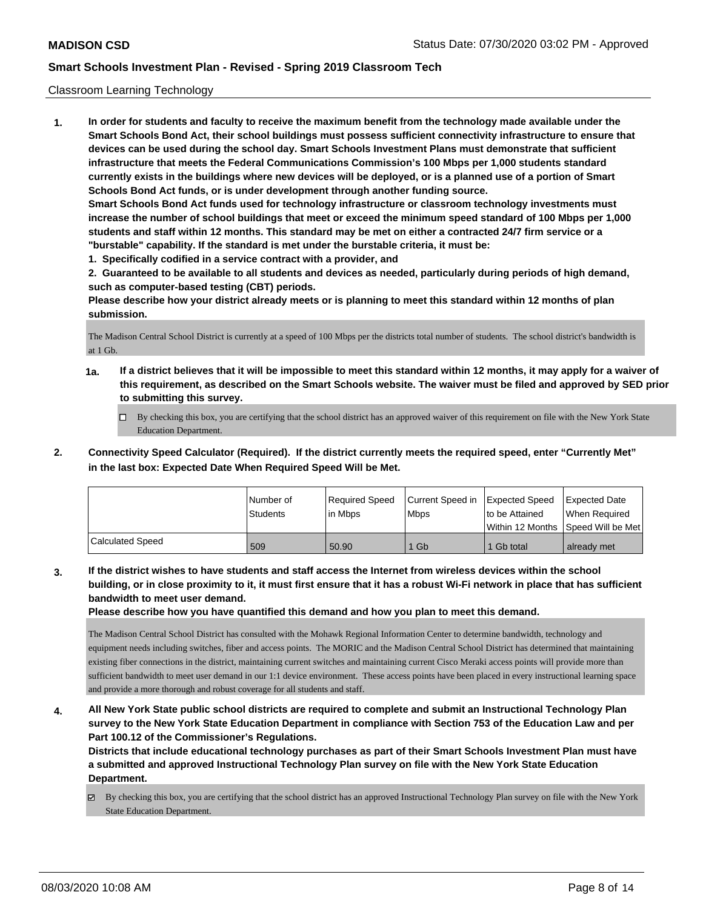### Classroom Learning Technology

**1. In order for students and faculty to receive the maximum benefit from the technology made available under the Smart Schools Bond Act, their school buildings must possess sufficient connectivity infrastructure to ensure that devices can be used during the school day. Smart Schools Investment Plans must demonstrate that sufficient infrastructure that meets the Federal Communications Commission's 100 Mbps per 1,000 students standard currently exists in the buildings where new devices will be deployed, or is a planned use of a portion of Smart Schools Bond Act funds, or is under development through another funding source. Smart Schools Bond Act funds used for technology infrastructure or classroom technology investments must increase the number of school buildings that meet or exceed the minimum speed standard of 100 Mbps per 1,000 students and staff within 12 months. This standard may be met on either a contracted 24/7 firm service or a "burstable" capability. If the standard is met under the burstable criteria, it must be:**

**1. Specifically codified in a service contract with a provider, and**

**2. Guaranteed to be available to all students and devices as needed, particularly during periods of high demand, such as computer-based testing (CBT) periods.**

**Please describe how your district already meets or is planning to meet this standard within 12 months of plan submission.**

The Madison Central School District is currently at a speed of 100 Mbps per the districts total number of students. The school district's bandwidth is at 1 Gb.

- **1a. If a district believes that it will be impossible to meet this standard within 12 months, it may apply for a waiver of this requirement, as described on the Smart Schools website. The waiver must be filed and approved by SED prior to submitting this survey.**
	- By checking this box, you are certifying that the school district has an approved waiver of this requirement on file with the New York State Education Department.
- **2. Connectivity Speed Calculator (Required). If the district currently meets the required speed, enter "Currently Met" in the last box: Expected Date When Required Speed Will be Met.**

|                  | l Number of<br><b>Students</b> | Required Speed<br>lin Mbps | Current Speed in<br><b>Mbps</b> | <b>Expected Speed</b><br>to be Attained | <b>Expected Date</b><br>When Reauired<br>Within 12 Months ISpeed Will be Met l |
|------------------|--------------------------------|----------------------------|---------------------------------|-----------------------------------------|--------------------------------------------------------------------------------|
| Calculated Speed | 509                            | 50.90                      | 1 Gb                            | 1 Gb total                              | already met                                                                    |

**3. If the district wishes to have students and staff access the Internet from wireless devices within the school building, or in close proximity to it, it must first ensure that it has a robust Wi-Fi network in place that has sufficient bandwidth to meet user demand.**

**Please describe how you have quantified this demand and how you plan to meet this demand.**

The Madison Central School District has consulted with the Mohawk Regional Information Center to determine bandwidth, technology and equipment needs including switches, fiber and access points. The MORIC and the Madison Central School District has determined that maintaining existing fiber connections in the district, maintaining current switches and maintaining current Cisco Meraki access points will provide more than sufficient bandwidth to meet user demand in our 1:1 device environment. These access points have been placed in every instructional learning space and provide a more thorough and robust coverage for all students and staff.

**4. All New York State public school districts are required to complete and submit an Instructional Technology Plan survey to the New York State Education Department in compliance with Section 753 of the Education Law and per Part 100.12 of the Commissioner's Regulations.**

**Districts that include educational technology purchases as part of their Smart Schools Investment Plan must have a submitted and approved Instructional Technology Plan survey on file with the New York State Education Department.**

 $\boxtimes$  By checking this box, you are certifying that the school district has an approved Instructional Technology Plan survey on file with the New York State Education Department.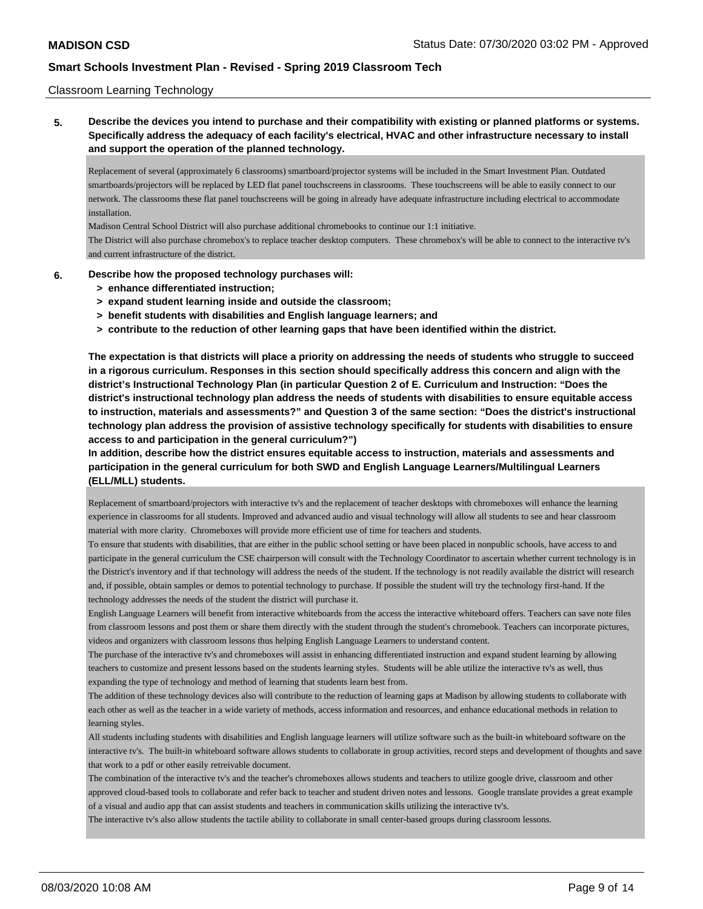### Classroom Learning Technology

**5. Describe the devices you intend to purchase and their compatibility with existing or planned platforms or systems. Specifically address the adequacy of each facility's electrical, HVAC and other infrastructure necessary to install and support the operation of the planned technology.**

Replacement of several (approximately 6 classrooms) smartboard/projector systems will be included in the Smart Investment Plan. Outdated smartboards/projectors will be replaced by LED flat panel touchscreens in classrooms. These touchscreens will be able to easily connect to our network. The classrooms these flat panel touchscreens will be going in already have adequate infrastructure including electrical to accommodate installation.

Madison Central School District will also purchase additional chromebooks to continue our 1:1 initiative.

The District will also purchase chromebox's to replace teacher desktop computers. These chromebox's will be able to connect to the interactive tv's and current infrastructure of the district.

- **6. Describe how the proposed technology purchases will:**
	- **> enhance differentiated instruction;**
	- **> expand student learning inside and outside the classroom;**
	- **> benefit students with disabilities and English language learners; and**
	- **> contribute to the reduction of other learning gaps that have been identified within the district.**

**The expectation is that districts will place a priority on addressing the needs of students who struggle to succeed in a rigorous curriculum. Responses in this section should specifically address this concern and align with the district's Instructional Technology Plan (in particular Question 2 of E. Curriculum and Instruction: "Does the district's instructional technology plan address the needs of students with disabilities to ensure equitable access to instruction, materials and assessments?" and Question 3 of the same section: "Does the district's instructional technology plan address the provision of assistive technology specifically for students with disabilities to ensure access to and participation in the general curriculum?")**

**In addition, describe how the district ensures equitable access to instruction, materials and assessments and participation in the general curriculum for both SWD and English Language Learners/Multilingual Learners (ELL/MLL) students.**

Replacement of smartboard/projectors with interactive tv's and the replacement of teacher desktops with chromeboxes will enhance the learning experience in classrooms for all students. Improved and advanced audio and visual technology will allow all students to see and hear classroom material with more clarity. Chromeboxes will provide more efficient use of time for teachers and students.

To ensure that students with disabilities, that are either in the public school setting or have been placed in nonpublic schools, have access to and participate in the general curriculum the CSE chairperson will consult with the Technology Coordinator to ascertain whether current technology is in the District's inventory and if that technology will address the needs of the student. If the technology is not readily available the district will research and, if possible, obtain samples or demos to potential technology to purchase. If possible the student will try the technology first-hand. If the technology addresses the needs of the student the district will purchase it.

English Language Learners will benefit from interactive whiteboards from the access the interactive whiteboard offers. Teachers can save note files from classroom lessons and post them or share them directly with the student through the student's chromebook. Teachers can incorporate pictures, videos and organizers with classroom lessons thus helping English Language Learners to understand content.

The purchase of the interactive tv's and chromeboxes will assist in enhancing differentiated instruction and expand student learning by allowing teachers to customize and present lessons based on the students learning styles. Students will be able utilize the interactive tv's as well, thus expanding the type of technology and method of learning that students learn best from.

The addition of these technology devices also will contribute to the reduction of learning gaps at Madison by allowing students to collaborate with each other as well as the teacher in a wide variety of methods, access information and resources, and enhance educational methods in relation to learning styles.

All students including students with disabilities and English language learners will utilize software such as the built-in whiteboard software on the interactive tv's. The built-in whiteboard software allows students to collaborate in group activities, record steps and development of thoughts and save that work to a pdf or other easily retreivable document.

The combination of the interactive tv's and the teacher's chromeboxes allows students and teachers to utilize google drive, classroom and other approved cloud-based tools to collaborate and refer back to teacher and student driven notes and lessons. Google translate provides a great example of a visual and audio app that can assist students and teachers in communication skills utilizing the interactive tv's.

The interactive tv's also allow students the tactile ability to collaborate in small center-based groups during classroom lessons.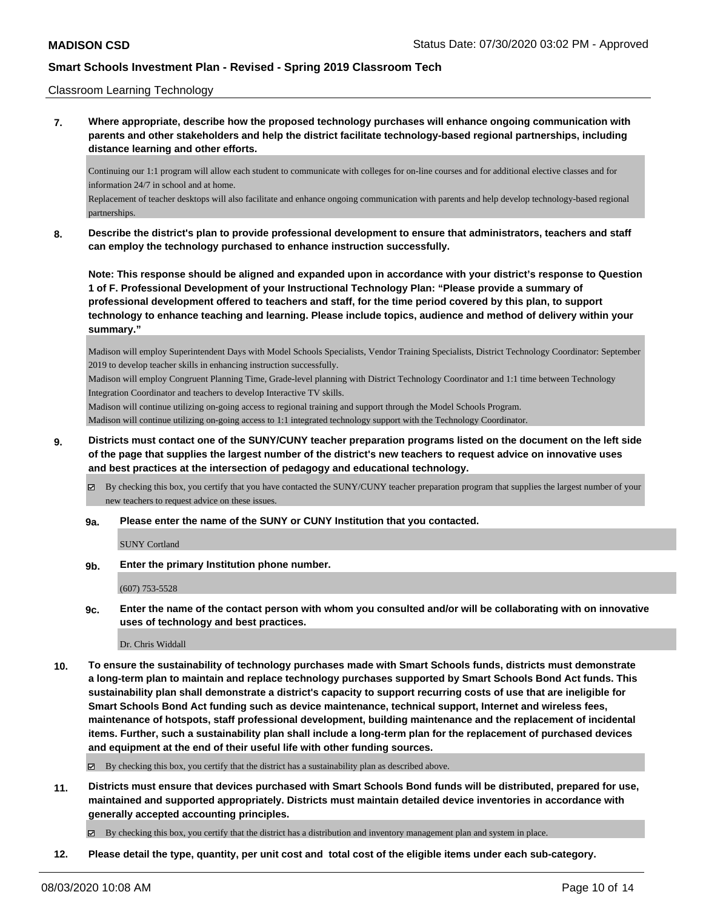### Classroom Learning Technology

**7. Where appropriate, describe how the proposed technology purchases will enhance ongoing communication with parents and other stakeholders and help the district facilitate technology-based regional partnerships, including distance learning and other efforts.**

Continuing our 1:1 program will allow each student to communicate with colleges for on-line courses and for additional elective classes and for information 24/7 in school and at home.

Replacement of teacher desktops will also facilitate and enhance ongoing communication with parents and help develop technology-based regional partnerships.

**8. Describe the district's plan to provide professional development to ensure that administrators, teachers and staff can employ the technology purchased to enhance instruction successfully.**

**Note: This response should be aligned and expanded upon in accordance with your district's response to Question 1 of F. Professional Development of your Instructional Technology Plan: "Please provide a summary of professional development offered to teachers and staff, for the time period covered by this plan, to support technology to enhance teaching and learning. Please include topics, audience and method of delivery within your summary."**

Madison will employ Superintendent Days with Model Schools Specialists, Vendor Training Specialists, District Technology Coordinator: September 2019 to develop teacher skills in enhancing instruction successfully.

Madison will employ Congruent Planning Time, Grade-level planning with District Technology Coordinator and 1:1 time between Technology Integration Coordinator and teachers to develop Interactive TV skills.

Madison will continue utilizing on-going access to regional training and support through the Model Schools Program.

Madison will continue utilizing on-going access to 1:1 integrated technology support with the Technology Coordinator.

**9. Districts must contact one of the SUNY/CUNY teacher preparation programs listed on the document on the left side of the page that supplies the largest number of the district's new teachers to request advice on innovative uses and best practices at the intersection of pedagogy and educational technology.**

 $\boxtimes$  By checking this box, you certify that you have contacted the SUNY/CUNY teacher preparation program that supplies the largest number of your new teachers to request advice on these issues.

#### **9a. Please enter the name of the SUNY or CUNY Institution that you contacted.**

SUNY Cortland

**9b. Enter the primary Institution phone number.**

(607) 753-5528

**9c. Enter the name of the contact person with whom you consulted and/or will be collaborating with on innovative uses of technology and best practices.**

Dr. Chris Widdall

**10. To ensure the sustainability of technology purchases made with Smart Schools funds, districts must demonstrate a long-term plan to maintain and replace technology purchases supported by Smart Schools Bond Act funds. This sustainability plan shall demonstrate a district's capacity to support recurring costs of use that are ineligible for Smart Schools Bond Act funding such as device maintenance, technical support, Internet and wireless fees, maintenance of hotspots, staff professional development, building maintenance and the replacement of incidental items. Further, such a sustainability plan shall include a long-term plan for the replacement of purchased devices and equipment at the end of their useful life with other funding sources.**

 $\boxtimes$  By checking this box, you certify that the district has a sustainability plan as described above.

**11. Districts must ensure that devices purchased with Smart Schools Bond funds will be distributed, prepared for use, maintained and supported appropriately. Districts must maintain detailed device inventories in accordance with generally accepted accounting principles.**

By checking this box, you certify that the district has a distribution and inventory management plan and system in place.

**12. Please detail the type, quantity, per unit cost and total cost of the eligible items under each sub-category.**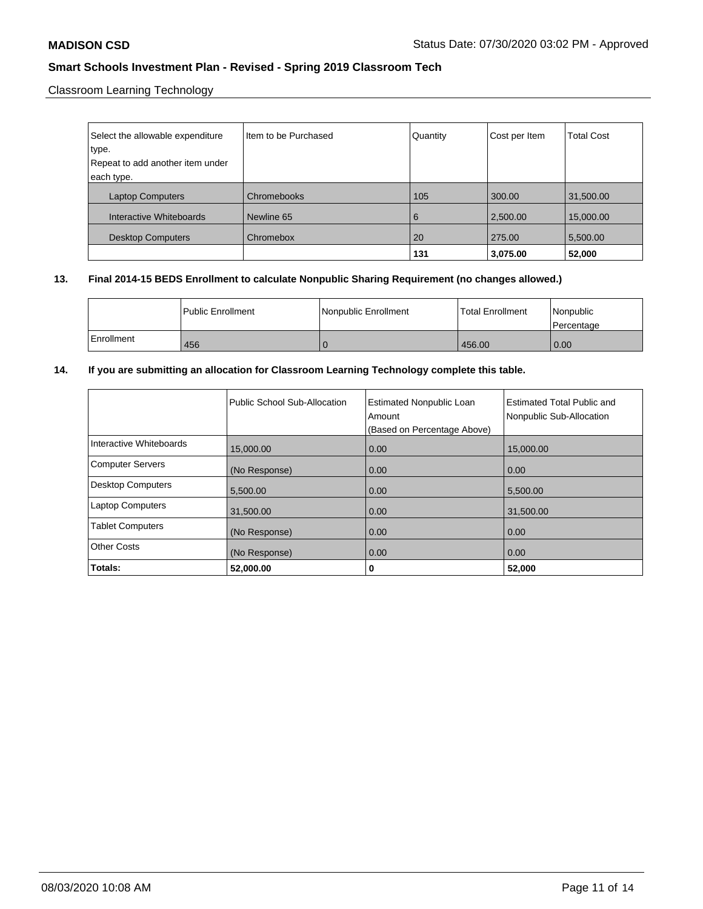Classroom Learning Technology

| Select the allowable expenditure | Item to be Purchased | Quantity | Cost per Item | <b>Total Cost</b> |
|----------------------------------|----------------------|----------|---------------|-------------------|
| type.                            |                      |          |               |                   |
| Repeat to add another item under |                      |          |               |                   |
| each type.                       |                      |          |               |                   |
| <b>Laptop Computers</b>          | Chromebooks          | 105      | 300.00        | 31,500.00         |
| Interactive Whiteboards          | Newline 65           | 6        | 2,500.00      | 15,000.00         |
| <b>Desktop Computers</b>         | Chromebox            | 20       | 275.00        | 5,500.00          |
|                                  |                      | 131      | 3,075.00      | 52,000            |

### **13. Final 2014-15 BEDS Enrollment to calculate Nonpublic Sharing Requirement (no changes allowed.)**

|            | Public Enrollment | Nonpublic Enrollment | <b>Total Enrollment</b> | Nonpublic<br>l Percentage |
|------------|-------------------|----------------------|-------------------------|---------------------------|
| Enrollment | 456               |                      | 456.00                  | $\overline{0.00}$         |

### **14. If you are submitting an allocation for Classroom Learning Technology complete this table.**

|                          | Public School Sub-Allocation | <b>Estimated Nonpublic Loan</b><br>Amount<br>(Based on Percentage Above) | Estimated Total Public and<br>Nonpublic Sub-Allocation |
|--------------------------|------------------------------|--------------------------------------------------------------------------|--------------------------------------------------------|
| Interactive Whiteboards  | 15,000.00                    | 0.00                                                                     | 15,000.00                                              |
| <b>Computer Servers</b>  | (No Response)                | 0.00                                                                     | 0.00                                                   |
| <b>Desktop Computers</b> | 5,500.00                     | 0.00                                                                     | 5,500.00                                               |
| <b>Laptop Computers</b>  | 31,500.00                    | 0.00                                                                     | 31,500.00                                              |
| <b>Tablet Computers</b>  | (No Response)                | 0.00                                                                     | 0.00                                                   |
| <b>Other Costs</b>       | (No Response)                | 0.00                                                                     | 0.00                                                   |
| Totals:                  | 52,000.00                    | 0                                                                        | 52,000                                                 |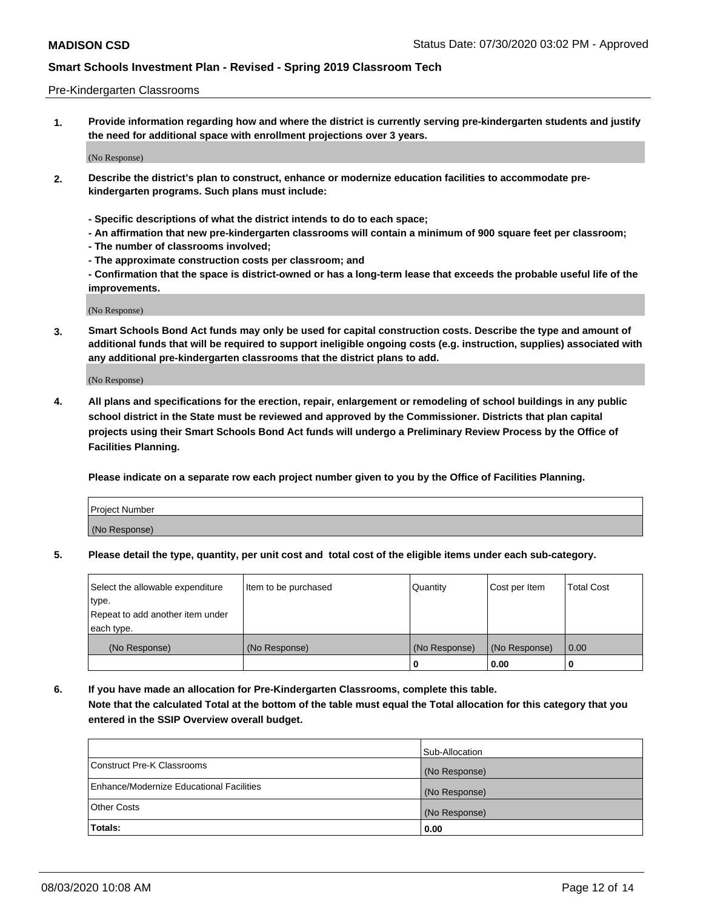### Pre-Kindergarten Classrooms

**1. Provide information regarding how and where the district is currently serving pre-kindergarten students and justify the need for additional space with enrollment projections over 3 years.**

(No Response)

- **2. Describe the district's plan to construct, enhance or modernize education facilities to accommodate prekindergarten programs. Such plans must include:**
	- **Specific descriptions of what the district intends to do to each space;**
	- **An affirmation that new pre-kindergarten classrooms will contain a minimum of 900 square feet per classroom;**
	- **The number of classrooms involved;**
	- **The approximate construction costs per classroom; and**
	- **Confirmation that the space is district-owned or has a long-term lease that exceeds the probable useful life of the improvements.**

(No Response)

**3. Smart Schools Bond Act funds may only be used for capital construction costs. Describe the type and amount of additional funds that will be required to support ineligible ongoing costs (e.g. instruction, supplies) associated with any additional pre-kindergarten classrooms that the district plans to add.**

(No Response)

**4. All plans and specifications for the erection, repair, enlargement or remodeling of school buildings in any public school district in the State must be reviewed and approved by the Commissioner. Districts that plan capital projects using their Smart Schools Bond Act funds will undergo a Preliminary Review Process by the Office of Facilities Planning.**

**Please indicate on a separate row each project number given to you by the Office of Facilities Planning.**

| Project Number |  |
|----------------|--|
| (No Response)  |  |
|                |  |

**5. Please detail the type, quantity, per unit cost and total cost of the eligible items under each sub-category.**

| Select the allowable expenditure | Item to be purchased | Quantity      | Cost per Item | <b>Total Cost</b> |
|----------------------------------|----------------------|---------------|---------------|-------------------|
| type.                            |                      |               |               |                   |
| Repeat to add another item under |                      |               |               |                   |
| each type.                       |                      |               |               |                   |
| (No Response)                    | (No Response)        | (No Response) | (No Response) | 0.00              |
|                                  |                      | υ             | 0.00          |                   |

**6. If you have made an allocation for Pre-Kindergarten Classrooms, complete this table. Note that the calculated Total at the bottom of the table must equal the Total allocation for this category that you entered in the SSIP Overview overall budget.**

|                                          | Sub-Allocation |
|------------------------------------------|----------------|
| Construct Pre-K Classrooms               | (No Response)  |
| Enhance/Modernize Educational Facilities | (No Response)  |
| <b>Other Costs</b>                       | (No Response)  |
| Totals:                                  | 0.00           |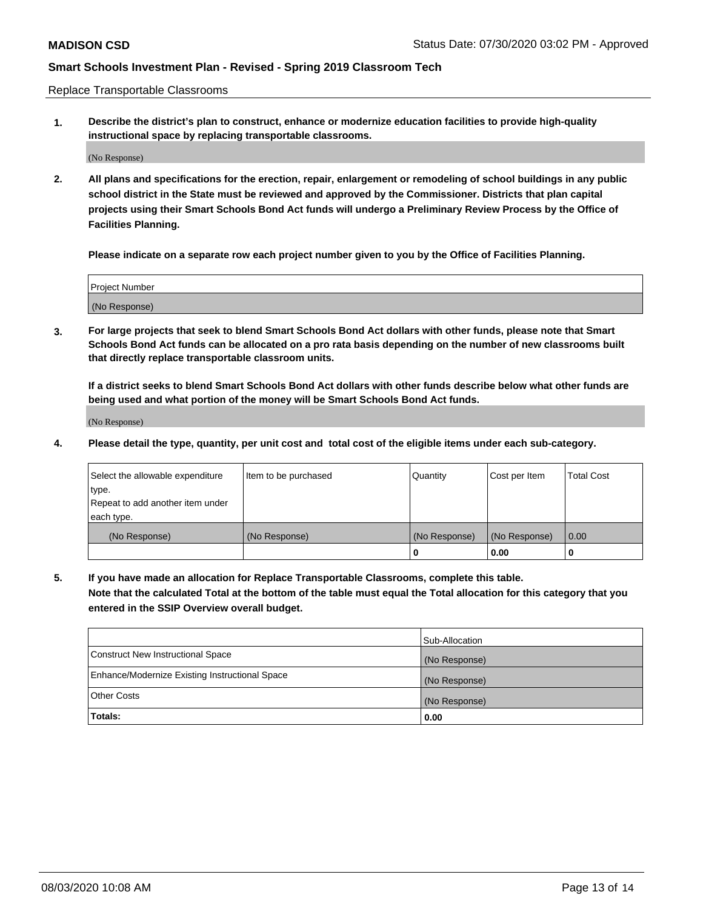Replace Transportable Classrooms

**1. Describe the district's plan to construct, enhance or modernize education facilities to provide high-quality instructional space by replacing transportable classrooms.**

(No Response)

**2. All plans and specifications for the erection, repair, enlargement or remodeling of school buildings in any public school district in the State must be reviewed and approved by the Commissioner. Districts that plan capital projects using their Smart Schools Bond Act funds will undergo a Preliminary Review Process by the Office of Facilities Planning.**

**Please indicate on a separate row each project number given to you by the Office of Facilities Planning.**

| Project Number |  |
|----------------|--|
|                |  |
|                |  |
|                |  |
|                |  |
| (No Response)  |  |
|                |  |
|                |  |
|                |  |

**3. For large projects that seek to blend Smart Schools Bond Act dollars with other funds, please note that Smart Schools Bond Act funds can be allocated on a pro rata basis depending on the number of new classrooms built that directly replace transportable classroom units.**

**If a district seeks to blend Smart Schools Bond Act dollars with other funds describe below what other funds are being used and what portion of the money will be Smart Schools Bond Act funds.**

(No Response)

**4. Please detail the type, quantity, per unit cost and total cost of the eligible items under each sub-category.**

| Select the allowable expenditure | Item to be purchased | Quantity      | Cost per Item | Total Cost |
|----------------------------------|----------------------|---------------|---------------|------------|
| ∣type.                           |                      |               |               |            |
| Repeat to add another item under |                      |               |               |            |
| each type.                       |                      |               |               |            |
| (No Response)                    | (No Response)        | (No Response) | (No Response) | 0.00       |
|                                  |                      | u             | 0.00          |            |

**5. If you have made an allocation for Replace Transportable Classrooms, complete this table. Note that the calculated Total at the bottom of the table must equal the Total allocation for this category that you entered in the SSIP Overview overall budget.**

|                                                | Sub-Allocation |
|------------------------------------------------|----------------|
| Construct New Instructional Space              | (No Response)  |
| Enhance/Modernize Existing Instructional Space | (No Response)  |
| Other Costs                                    | (No Response)  |
| Totals:                                        | 0.00           |